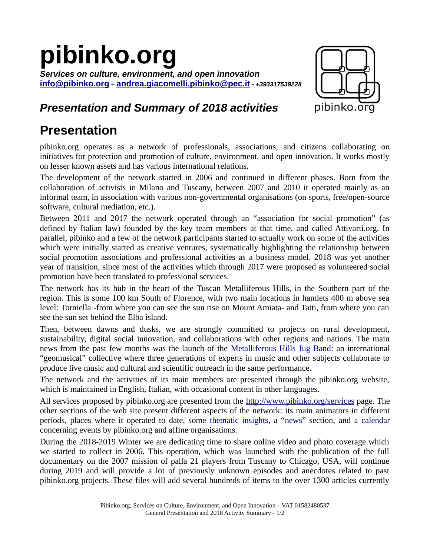## **pibinko.org**

*Services on culture, environment, and open innovation* **[info@pibinko.org](mailto:info@pibinko.org)** *–* **[andrea.giacomelli.pibinko@pec.it](mailto:andrea.giacomelli.pibinko@pec.it)** *- +393317539228*



## *Presentation and Summary of 2018 activities*

## **Presentation**

pibinko.org operates as a network of professionals, associations, and citizens collaborating on initiatives for protection and promotion of culture, environment, and open innovation. It works mostly on lesser known assets and has various international relations.

The development of the network started in 2006 and continued in different phases. Born from the collaboration of activists in Milano and Tuscany, between 2007 and 2010 it operated mainly as an informal team, in association with various non-governmental organisations (on sports, free/open-source software, cultural mediation, etc.).

Between 2011 and 2017 the network operated through an "association for social promotion" (as defined by Italian law) founded by the key team members at that time, and called Attivarti.org. In parallel, pibinko and a few of the network participants started to actually work on some of the activities which were initially started as creative ventures, systematically highlighting the relationship between social promotion associations and professional activities as a business model. 2018 was yet another year of transition, since most of the activities which through 2017 were proposed as volunteered social promotion have been translated to professional services.

The network has its hub in the heart of the Tuscan Metalliferous Hills, in the Southern part of the region. This is some 100 km South of Florence, with two main locations in hamlets 400 m above sea level: Torniella -from where you can see the sun rise on Mount Amiata- and Tatti, from where you can see the sun set behind the Elba island.

Then, between dawns and dusks, we are strongly committed to projects on rural development, sustainability, digital social innovation, and collaborations with other regions and nations. The main news from the past few months was the launch of the [Metalliferous Hills Jug Band:](http://www.pibinko.org/the-metalliferous-hills-jug-band/) an international "geomusical" collective where three generations of experts in music and other subjects collaborate to produce live music and cultural and scientific outreach in the same performance.

The network and the activities of its main members are presented through the pibinko.org website, which is maintained in English, Italian, with occasional content in other languages.

All services proposed by pibinko.org are presented from the <http://www.pibinko.org/services>page. The other sections of the web site present different aspects of the network: its main animators in different periods, places where it operated to date, some [thematic insights](http://www.pibinko.org/more-details-on/), a "[news](http://www.pibinko.org/news/)" section, and a [calendar](http://www.pibinko.org/calendar/) concerning events by pibinko.org and affine organisations.

During the 2018-2019 Winter we are dedicating time to share online video and photo coverage which we started to collect in 2006. This operation, which was launched with the publication of the full documentary on the 2007 mission of palla 21 players from Tuscany to Chicago, USA, will continue during 2019 and will provide a lot of previously unknown episodes and anecdotes related to past pibinko.org projects. These files will add several hundreds of items to the over 1300 articles currently